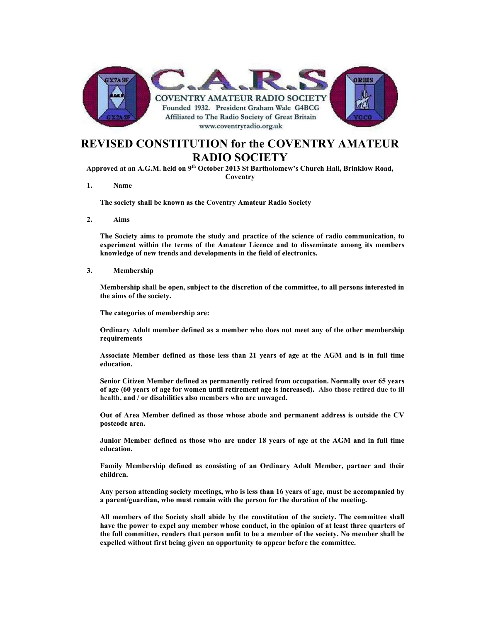

## REVISED CONSTITUTION for the COVENTRY AMATEUR RADIO SOCIETY

Approved at an A.G.M. held on 9th October 2013 St Bartholomew's Church Hall, Brinklow Road, **Coventry** 

1. Name

The society shall be known as the Coventry Amateur Radio Society

2. Aims

The Society aims to promote the study and practice of the science of radio communication, to experiment within the terms of the Amateur Licence and to disseminate among its members knowledge of new trends and developments in the field of electronics.

3. Membership

 Membership shall be open, subject to the discretion of the committee, to all persons interested in the aims of the society.

The categories of membership are:

Ordinary Adult member defined as a member who does not meet any of the other membership requirements

Associate Member defined as those less than 21 years of age at the AGM and is in full time education.

Senior Citizen Member defined as permanently retired from occupation. Normally over 65 years of age (60 years of age for women until retirement age is increased). Also those retired due to ill health, and / or disabilities also members who are unwaged.

Out of Area Member defined as those whose abode and permanent address is outside the CV postcode area.

Junior Member defined as those who are under 18 years of age at the AGM and in full time education.

Family Membership defined as consisting of an Ordinary Adult Member, partner and their children.

Any person attending society meetings, who is less than 16 years of age, must be accompanied by a parent/guardian, who must remain with the person for the duration of the meeting.

 All members of the Society shall abide by the constitution of the society. The committee shall have the power to expel any member whose conduct, in the opinion of at least three quarters of the full committee, renders that person unfit to be a member of the society. No member shall be expelled without first being given an opportunity to appear before the committee.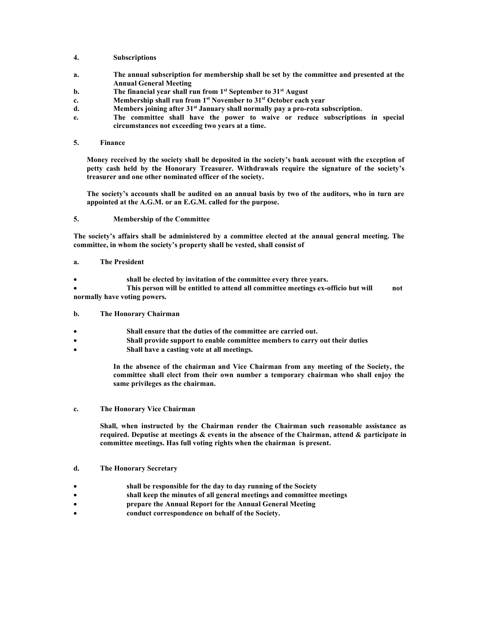- 4. Subscriptions
- a. The annual subscription for membership shall be set by the committee and presented at the Annual General Meeting
- b. The financial year shall run from  $1<sup>st</sup>$  September to  $31<sup>st</sup>$  August
- c. Membership shall run from 1<sup>st</sup> November to 31<sup>st</sup> October each year
- d. Members joining after 31<sup>st</sup> January shall normally pay a pro-rota subscription.
- e. The committee shall have the power to waive or reduce subscriptions in special circumstances not exceeding two years at a time.
- 5. Finance

Money received by the society shall be deposited in the society's bank account with the exception of petty cash held by the Honorary Treasurer. Withdrawals require the signature of the society's treasurer and one other nominated officer of the society.

The society's accounts shall be audited on an annual basis by two of the auditors, who in turn are appointed at the A.G.M. or an E.G.M. called for the purpose.

5. Membership of the Committee

The society's affairs shall be administered by a committee elected at the annual general meeting. The committee, in whom the society's property shall be vested, shall consist of

- a. The President
- shall be elected by invitation of the committee every three years.

 This person will be entitled to attend all committee meetings ex-officio but will not normally have voting powers.

- b. The Honorary Chairman
- Shall ensure that the duties of the committee are carried out.
- Shall provide support to enable committee members to carry out their duties
- Shall have a casting vote at all meetings.

In the absence of the chairman and Vice Chairman from any meeting of the Society, the committee shall elect from their own number a temporary chairman who shall enjoy the same privileges as the chairman.

c. The Honorary Vice Chairman

 Shall, when instructed by the Chairman render the Chairman such reasonable assistance as required. Deputise at meetings & events in the absence of the Chairman, attend & participate in committee meetings. Has full voting rights when the chairman is present.

- d. The Honorary Secretary
- shall be responsible for the day to day running of the Society
- shall keep the minutes of all general meetings and committee meetings
- prepare the Annual Report for the Annual General Meeting
- conduct correspondence on behalf of the Society.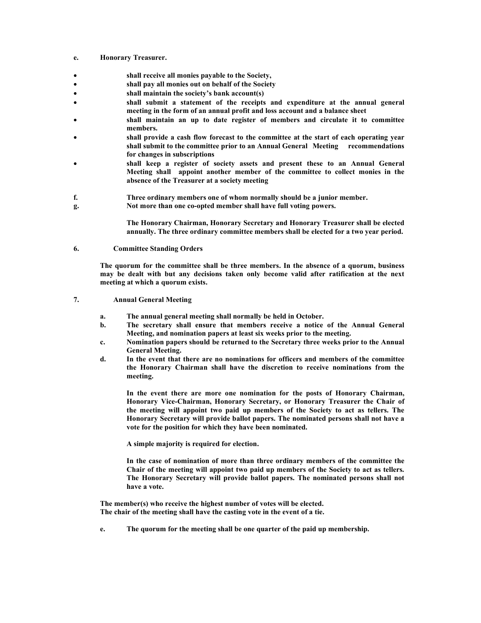- e. Honorary Treasurer.
- shall receive all monies payable to the Society,
- shall pay all monies out on behalf of the Society
- shall maintain the society's bank account(s)
- shall submit a statement of the receipts and expenditure at the annual general meeting in the form of an annual profit and loss account and a balance sheet
- shall maintain an up to date register of members and circulate it to committee members.
- shall provide a cash flow forecast to the committee at the start of each operating year shall submit to the committee prior to an Annual General Meeting recommendations for changes in subscriptions
- shall keep a register of society assets and present these to an Annual General Meeting shall appoint another member of the committee to collect monies in the absence of the Treasurer at a society meeting
- f. Three ordinary members one of whom normally should be a junior member.
- g. Not more than one co-opted member shall have full voting powers.

The Honorary Chairman, Honorary Secretary and Honorary Treasurer shall be elected annually. The three ordinary committee members shall be elected for a two year period.

6. Committee Standing Orders

 The quorum for the committee shall be three members. In the absence of a quorum, business may be dealt with but any decisions taken only become valid after ratification at the next meeting at which a quorum exists.

- 7. Annual General Meeting
	- a. The annual general meeting shall normally be held in October.
	- b. The secretary shall ensure that members receive a notice of the Annual General Meeting, and nomination papers at least six weeks prior to the meeting.
	- c. Nomination papers should be returned to the Secretary three weeks prior to the Annual General Meeting.
	- d. In the event that there are no nominations for officers and members of the committee the Honorary Chairman shall have the discretion to receive nominations from the meeting.

In the event there are more one nomination for the posts of Honorary Chairman, Honorary Vice-Chairman, Honorary Secretary, or Honorary Treasurer the Chair of the meeting will appoint two paid up members of the Society to act as tellers. The Honorary Secretary will provide ballot papers. The nominated persons shall not have a vote for the position for which they have been nominated.

A simple majority is required for election.

In the case of nomination of more than three ordinary members of the committee the Chair of the meeting will appoint two paid up members of the Society to act as tellers. The Honorary Secretary will provide ballot papers. The nominated persons shall not have a vote.

 The member(s) who receive the highest number of votes will be elected. The chair of the meeting shall have the casting vote in the event of a tie.

e. The quorum for the meeting shall be one quarter of the paid up membership.